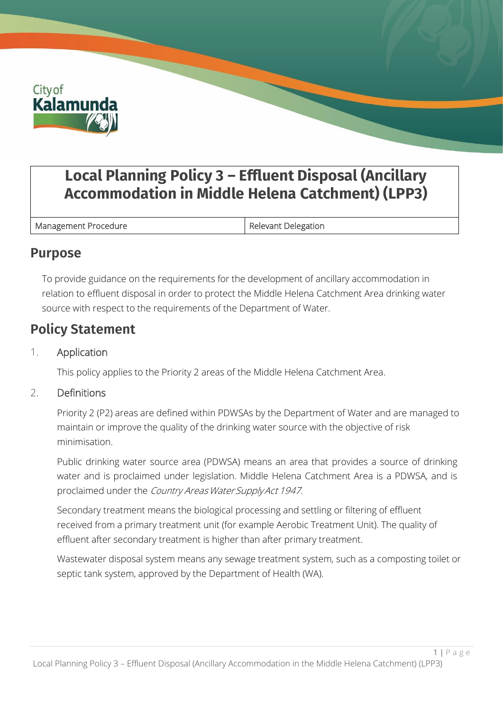

# **Local Planning Policy 3 – Effluent Disposal (Ancillary Accommodation in Middle Helena Catchment) (LPP3)**

Management Procedure **Relevant Delegation** 

### **Purpose**

To provide guidance on the requirements for the development of ancillary accommodation in relation to effluent disposal in order to protect the Middle Helena Catchment Area drinking water source with respect to the requirements of the Department of Water.

## **Policy Statement**

#### 1. Application

This policy applies to the Priority 2 areas of the Middle Helena Catchment Area.

#### 2. Definitions

Priority 2 (P2) areas are defined within PDWSAs by the Department of Water and are managed to maintain or improve the quality of the drinking water source with the objective of risk minimisation.

Public drinking water source area (PDWSA) means an area that provides a source of drinking water and is proclaimed under legislation. Middle Helena Catchment Area is a PDWSA, and is proclaimed under the Country Areas Water Supply Act 1947.

Secondary treatment means the biological processing and settling or filtering of effluent received from a primary treatment unit (for example Aerobic Treatment Unit). The quality of effluent after secondary treatment is higher than after primary treatment.

Wastewater disposal system means any sewage treatment system, such as a composting toilet or septic tank system, approved by the Department of Health (WA).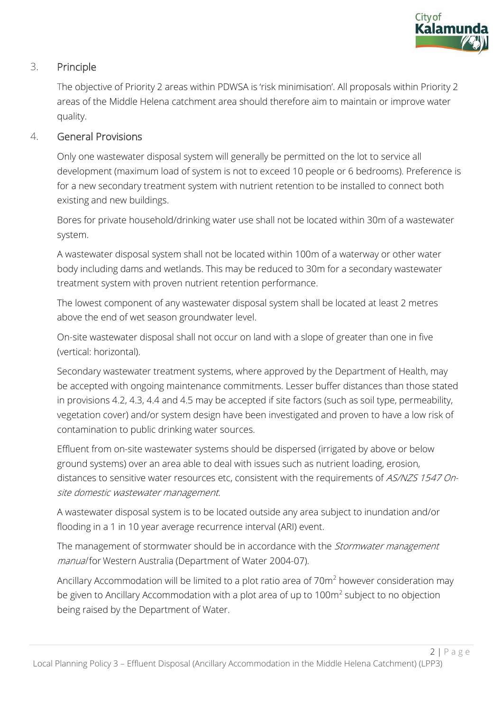

#### 3. Principle

The objective of Priority 2 areas within PDWSA is 'risk minimisation'. All proposals within Priority 2 areas of the Middle Helena catchment area should therefore aim to maintain or improve water quality.

#### 4. General Provisions

Only one wastewater disposal system will generally be permitted on the lot to service all development (maximum load of system is not to exceed 10 people or 6 bedrooms). Preference is for a new secondary treatment system with nutrient retention to be installed to connect both existing and new buildings.

Bores for private household/drinking water use shall not be located within 30m of a wastewater system.

A wastewater disposal system shall not be located within 100m of a waterway or other water body including dams and wetlands. This may be reduced to 30m for a secondary wastewater treatment system with proven nutrient retention performance.

The lowest component of any wastewater disposal system shall be located at least 2 metres above the end of wet season groundwater level.

On-site wastewater disposal shall not occur on land with a slope of greater than one in five (vertical: horizontal).

Secondary wastewater treatment systems, where approved by the Department of Health, may be accepted with ongoing maintenance commitments. Lesser buffer distances than those stated in provisions 4.2, 4.3, 4.4 and 4.5 may be accepted if site factors (such as soil type, permeability, vegetation cover) and/or system design have been investigated and proven to have a low risk of contamination to public drinking water sources.

Effluent from on-site wastewater systems should be dispersed (irrigated by above or below ground systems) over an area able to deal with issues such as nutrient loading, erosion, distances to sensitive water resources etc, consistent with the requirements of AS/NZS 1547 Onsite domestic wastewater management.

A wastewater disposal system is to be located outside any area subject to inundation and/or flooding in a 1 in 10 year average recurrence interval (ARI) event.

The management of stormwater should be in accordance with the *Stormwater management* manual for Western Australia (Department of Water 2004-07).

Ancillary Accommodation will be limited to a plot ratio area of 70m<sup>2</sup> however consideration may be given to Ancillary Accommodation with a plot area of up to 100m<sup>2</sup> subject to no objection being raised by the Department of Water.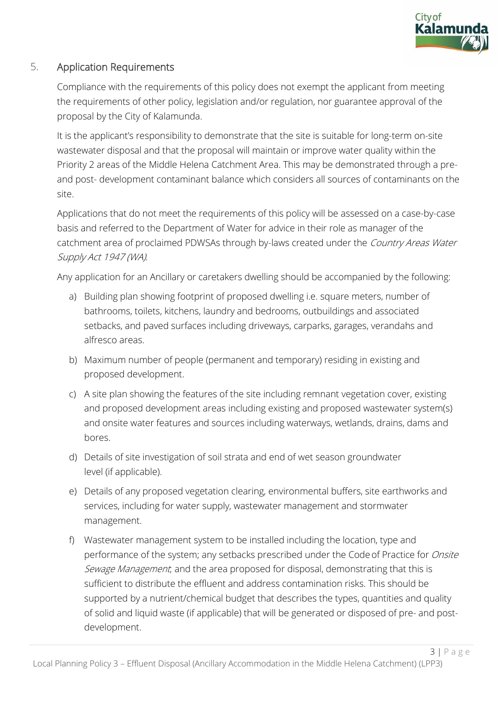

#### 5. Application Requirements

Compliance with the requirements of this policy does not exempt the applicant from meeting the requirements of other policy, legislation and/or regulation, nor guarantee approval of the proposal by the City of Kalamunda.

It is the applicant's responsibility to demonstrate that the site is suitable for long-term on-site wastewater disposal and that the proposal will maintain or improve water quality within the Priority 2 areas of the Middle Helena Catchment Area. This may be demonstrated through a preand post- development contaminant balance which considers all sources of contaminants on the site.

Applications that do not meet the requirements of this policy will be assessed on a case-by-case basis and referred to the Department of Water for advice in their role as manager of the catchment area of proclaimed PDWSAs through by-laws created under the Country Areas Water Supply Act 1947 (WA).

Any application for an Ancillary or caretakers dwelling should be accompanied by the following:

- a) Building plan showing footprint of proposed dwelling i.e. square meters, number of bathrooms, toilets, kitchens, laundry and bedrooms, outbuildings and associated setbacks, and paved surfaces including driveways, carparks, garages, verandahs and alfresco areas.
- b) Maximum number of people (permanent and temporary) residing in existing and proposed development.
- c) A site plan showing the features of the site including remnant vegetation cover, existing and proposed development areas including existing and proposed wastewater system(s) and onsite water features and sources including waterways, wetlands, drains, dams and bores.
- d) Details of site investigation of soil strata and end of wet season groundwater level (if applicable).
- e) Details of any proposed vegetation clearing, environmental buffers, site earthworks and services, including for water supply, wastewater management and stormwater management.
- f) Wastewater management system to be installed including the location, type and performance of the system; any setbacks prescribed under the Code of Practice for Onsite Sewage Management; and the area proposed for disposal, demonstrating that this is sufficient to distribute the effluent and address contamination risks. This should be supported by a nutrient/chemical budget that describes the types, quantities and quality of solid and liquid waste (if applicable) that will be generated or disposed of pre- and postdevelopment.